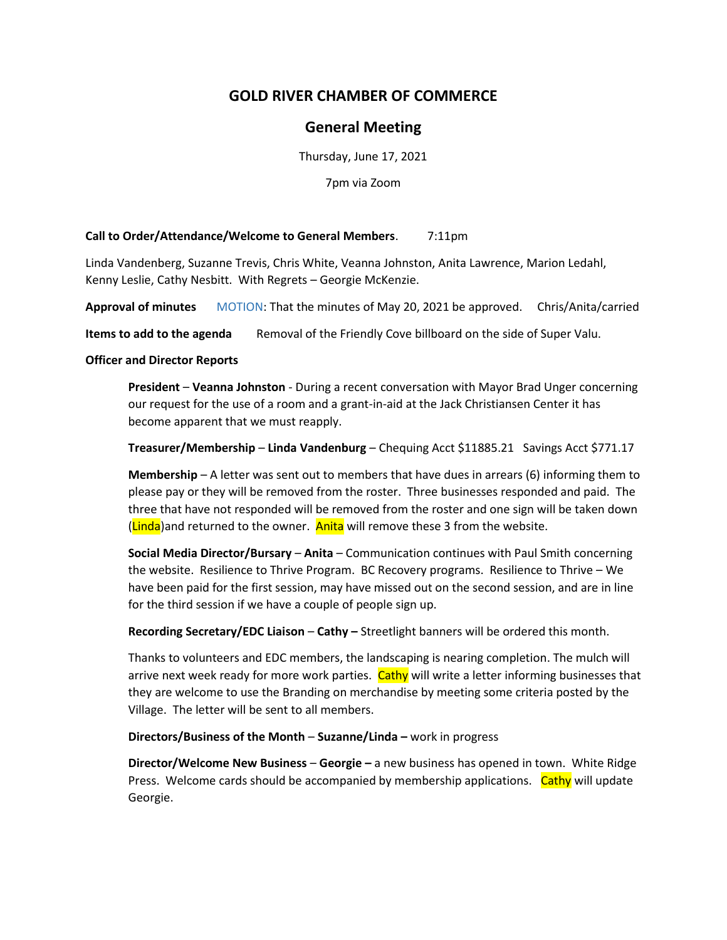# **GOLD RIVER CHAMBER OF COMMERCE**

## **General Meeting**

Thursday, June 17, 2021

7pm via Zoom

#### **Call to Order/Attendance/Welcome to General Members**. 7:11pm

Linda Vandenberg, Suzanne Trevis, Chris White, Veanna Johnston, Anita Lawrence, Marion Ledahl, Kenny Leslie, Cathy Nesbitt. With Regrets – Georgie McKenzie.

**Approval of minutes** MOTION: That the minutes of May 20, 2021 be approved. Chris/Anita/carried

**Items to add to the agenda** Removal of the Friendly Cove billboard on the side of Super Valu.

#### **Officer and Director Reports**

**President** – **Veanna Johnston** - During a recent conversation with Mayor Brad Unger concerning our request for the use of a room and a grant-in-aid at the Jack Christiansen Center it has become apparent that we must reapply.

**Treasurer/Membership** – **Linda Vandenburg** – Chequing Acct \$11885.21 Savings Acct \$771.17

**Membership** – A letter was sent out to members that have dues in arrears (6) informing them to please pay or they will be removed from the roster. Three businesses responded and paid. The three that have not responded will be removed from the roster and one sign will be taken down (Linda)and returned to the owner. Anita will remove these 3 from the website.

**Social Media Director/Bursary** – **Anita** – Communication continues with Paul Smith concerning the website. Resilience to Thrive Program. BC Recovery programs. Resilience to Thrive – We have been paid for the first session, may have missed out on the second session, and are in line for the third session if we have a couple of people sign up.

**Recording Secretary/EDC Liaison** – **Cathy –** Streetlight banners will be ordered this month.

Thanks to volunteers and EDC members, the landscaping is nearing completion. The mulch will arrive next week ready for more work parties. Cathy will write a letter informing businesses that they are welcome to use the Branding on merchandise by meeting some criteria posted by the Village. The letter will be sent to all members.

### **Directors/Business of the Month** – **Suzanne/Linda –** work in progress

**Director/Welcome New Business** – **Georgie –** a new business has opened in town. White Ridge Press. Welcome cards should be accompanied by membership applications. Cathy will update Georgie.